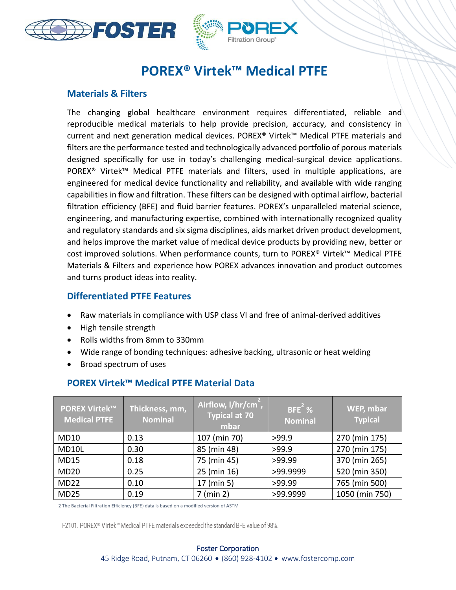



j

# **POREX® Virtek™ Medical PTFE**

#### **Materials & Filters**

The changing global healthcare environment requires differentiated, reliable and reproducible medical materials to help provide precision, accuracy, and consistency in current and next generation medical devices. POREX® Virtek™ Medical PTFE materials and filters are the performance tested and technologically advanced portfolio of porous materials designed specifically for use in today's challenging medical-surgical device applications. POREX<sup>®</sup> Virtek™ Medical PTFE materials and filters, used in multiple applications, are engineered for medical device functionality and reliability, and available with wide ranging capabilities in flow and filtration. These filters can be designed with optimal airflow, bacterial filtration efficiency (BFE) and fluid barrier features. POREX's unparalleled material science, engineering, and manufacturing expertise, combined with internationally recognized quality and regulatory standards and six sigma disciplines, aids market driven product development, and helps improve the market value of medical device products by providing new, better or cost improved solutions. When performance counts, turn to POREX® Virtek™ Medical PTFE Materials & Filters and experience how POREX advances innovation and product outcomes and turns product ideas into reality.

#### **Differentiated PTFE Features**

- Raw materials in compliance with USP class VI and free of animal-derived additives
- High tensile strength
- Rolls widths from 8mm to 330mm
- Wide range of bonding techniques: adhesive backing, ultrasonic or heat welding
- Broad spectrum of uses

| <b>POREX Virtek™</b><br><b>Medical PTFE</b> | Thickness, mm,<br><b>Nominal</b> | Airflow, I/hr/cm <sup>2</sup> ,<br><b>Typical at 70</b><br>mbar | $BFE2$ %<br><b>Nominal</b> | WEP, mbar<br><b>Typical</b> |
|---------------------------------------------|----------------------------------|-----------------------------------------------------------------|----------------------------|-----------------------------|
| MD10                                        | 0.13                             | 107 (min 70)                                                    | >99.9                      | 270 (min 175)               |
| MD10L                                       | 0.30                             | 85 (min 48)                                                     | >99.9                      | 270 (min 175)               |
| <b>MD15</b>                                 | 0.18                             | 75 (min 45)                                                     | >99.99                     | 370 (min 265)               |
| <b>MD20</b>                                 | 0.25                             | 25 (min 16)                                                     | >99.9999                   | 520 (min 350)               |
| <b>MD22</b>                                 | 0.10                             | 17 (min 5)                                                      | >99.99                     | 765 (min 500)               |
| <b>MD25</b>                                 | 0.19                             | $7$ (min 2)                                                     | >99.9999                   | 1050 (min 750)              |

## **POREX Virtek™ Medical PTFE Material Data**

2 The Bacterial Filtration Efficiency (BFE) data is based on a modified version of ASTM

F2101. POREX® Virtek™ Medical PTFE materials exceeded the standard BFE value of 98%.